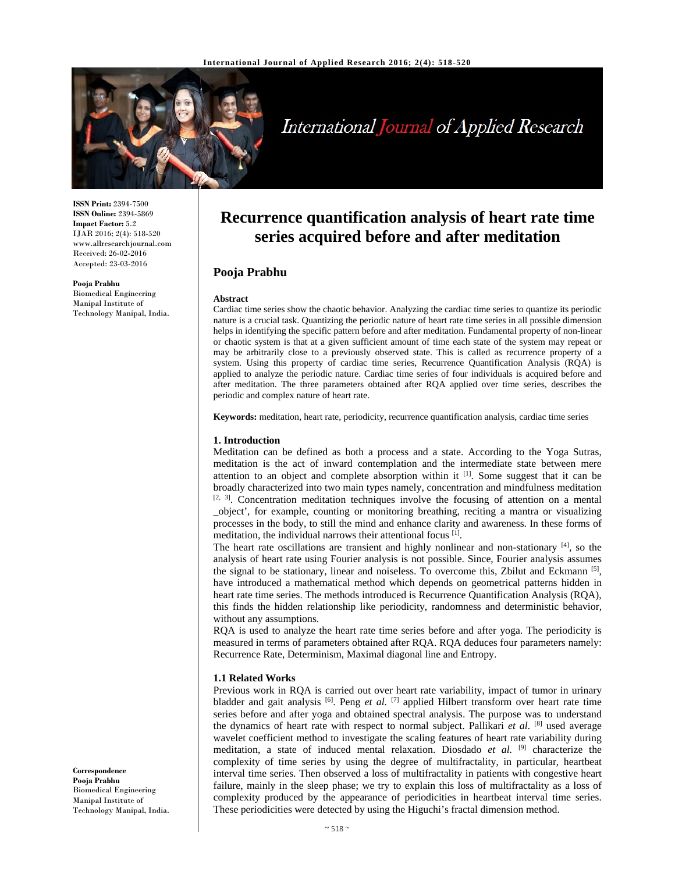

# International Journal of Applied Research

**ISSN Print:** 2394-7500 **ISSN Online:** 2394-5869 **Impact Factor:** 5.2 IJAR 2016; 2(4): 518-520 www.allresearchjournal.com Received: 26-02-2016 Accepted: 23-03-2016

**Pooja Prabhu** 

Biomedical Engineering Manipal Institute of Technology Manipal, India.

# **Recurrence quantification analysis of heart rate time series acquired before and after meditation**

# **Pooja Prabhu**

#### **Abstract**

Cardiac time series show the chaotic behavior. Analyzing the cardiac time series to quantize its periodic nature is a crucial task. Quantizing the periodic nature of heart rate time series in all possible dimension helps in identifying the specific pattern before and after meditation. Fundamental property of non-linear or chaotic system is that at a given sufficient amount of time each state of the system may repeat or may be arbitrarily close to a previously observed state. This is called as recurrence property of a system. Using this property of cardiac time series, Recurrence Quantification Analysis (RQA) is applied to analyze the periodic nature. Cardiac time series of four individuals is acquired before and after meditation. The three parameters obtained after RQA applied over time series, describes the periodic and complex nature of heart rate.

**Keywords:** meditation, heart rate, periodicity, recurrence quantification analysis, cardiac time series

#### **1. Introduction**

Meditation can be defined as both a process and a state. According to the Yoga Sutras, meditation is the act of inward contemplation and the intermediate state between mere attention to an object and complete absorption within it  $[1]$ . Some suggest that it can be broadly characterized into two main types namely, concentration and mindfulness meditation  $[2, 3]$ . Concentration meditation techniques involve the focusing of attention on a mental \_object', for example, counting or monitoring breathing, reciting a mantra or visualizing processes in the body, to still the mind and enhance clarity and awareness. In these forms of meditation, the individual narrows their attentional focus <sup>[1]</sup>.

The heart rate oscillations are transient and highly nonlinear and non-stationary  $^{[4]}$ , so the analysis of heart rate using Fourier analysis is not possible. Since, Fourier analysis assumes the signal to be stationary, linear and noiseless. To overcome this, Zbilut and Eckmann<sup>[5]</sup>, have introduced a mathematical method which depends on geometrical patterns hidden in heart rate time series. The methods introduced is Recurrence Quantification Analysis (RQA), this finds the hidden relationship like periodicity, randomness and deterministic behavior, without any assumptions.

RQA is used to analyze the heart rate time series before and after yoga. The periodicity is measured in terms of parameters obtained after RQA. RQA deduces four parameters namely: Recurrence Rate, Determinism, Maximal diagonal line and Entropy.

## **1.1 Related Works**

Previous work in RQA is carried out over heart rate variability, impact of tumor in urinary bladder and gait analysis <sup>[6]</sup>. Peng *et al.* <sup>[7]</sup> applied Hilbert transform over heart rate time series before and after yoga and obtained spectral analysis. The purpose was to understand the dynamics of heart rate with respect to normal subject. Pallikari *et al.* [8] used average wavelet coefficient method to investigate the scaling features of heart rate variability during meditation, a state of induced mental relaxation. Diosdado *et al.* [9] characterize the complexity of time series by using the degree of multifractality, in particular, heartbeat interval time series. Then observed a loss of multifractality in patients with congestive heart failure, mainly in the sleep phase; we try to explain this loss of multifractality as a loss of complexity produced by the appearance of periodicities in heartbeat interval time series. These periodicities were detected by using the Higuchi's fractal dimension method.

**Correspondence Pooja Prabhu**  Biomedical Engineering Manipal Institute of Technology Manipal, India.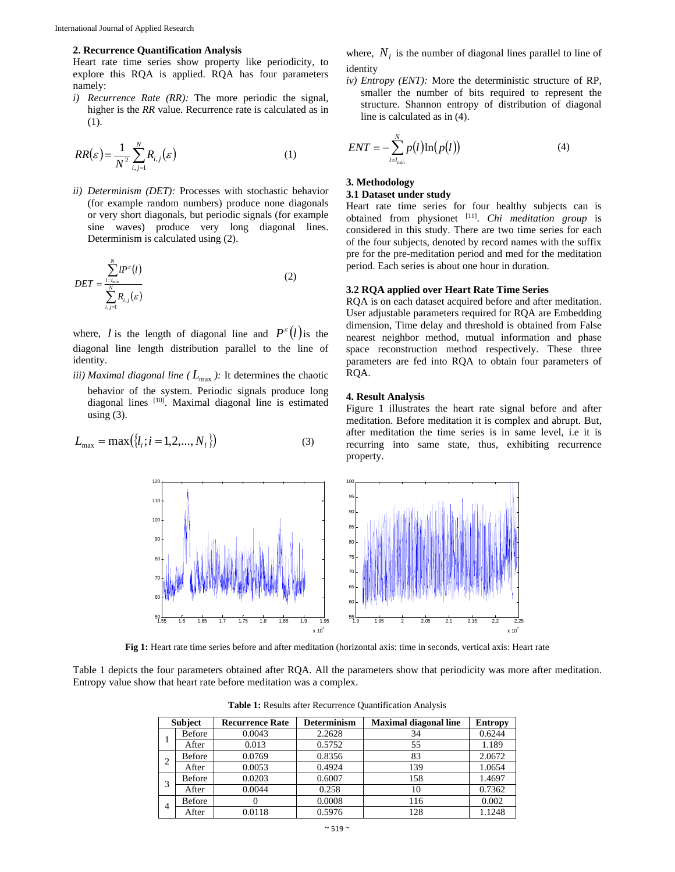# **2. Recurrence Quantification Analysis**

Heart rate time series show property like periodicity, to explore this RQA is applied. RQA has four parameters namely:

*i) Recurrence Rate (RR):* The more periodic the signal, higher is the *RR* value. Recurrence rate is calculated as in (1).

$$
RR(\varepsilon) = \frac{1}{N^2} \sum_{i,j=1}^{N} R_{i,j}(\varepsilon)
$$
 (1)

*ii) Determinism (DET):* Processes with stochastic behavior (for example random numbers) produce none diagonals or very short diagonals, but periodic signals (for example sine waves) produce very long diagonal lines. Determinism is calculated using (2).

$$
DET = \frac{\sum_{l=l_{\min}}^{N} l P^{\varepsilon}(l)}{\sum_{i,j=1}^{N} R_{i,j}(\varepsilon)}
$$
\n(2)

where, *l* is the length of diagonal line and  $P^{\varepsilon}(l)$  is the diagonal line length distribution parallel to the line of identity.

*iii) Maximal diagonal line* ( $L_{\text{max}}$ ): It determines the chaotic behavior of the system. Periodic signals produce long diagonal lines [10]. Maximal diagonal line is estimated using  $(3)$ .

$$
L_{\text{max}} = \max(\{l_i; i = 1, 2, ..., N_l\})
$$
\n(3)

where,  $N_l$  is the number of diagonal lines parallel to line of identity

*iv) Entropy (ENT):* More the deterministic structure of RP, smaller the number of bits required to represent the structure. Shannon entropy of distribution of diagonal line is calculated as in (4).

$$
ENT = -\sum_{l=l_{\min}}^{N} p(l) \ln(p(l))
$$
\n(4)

# **3. Methodology**

## **3.1 Dataset under study**

Heart rate time series for four healthy subjects can is obtained from physionet [11]. *Chi meditation group* is considered in this study. There are two time series for each of the four subjects, denoted by record names with the suffix pre for the pre-meditation period and med for the meditation period. Each series is about one hour in duration.

### **3.2 RQA applied over Heart Rate Time Series**

RQA is on each dataset acquired before and after meditation. User adjustable parameters required for RQA are Embedding dimension, Time delay and threshold is obtained from False nearest neighbor method, mutual information and phase space reconstruction method respectively. These three parameters are fed into RQA to obtain four parameters of RQA.

#### **4. Result Analysis**

Figure 1 illustrates the heart rate signal before and after meditation. Before meditation it is complex and abrupt. But, after meditation the time series is in same level, i.e it is recurring into same state, thus, exhibiting recurrence property.



**Fig 1:** Heart rate time series before and after meditation (horizontal axis: time in seconds, vertical axis: Heart rate

Table 1 depicts the four parameters obtained after RQA. All the parameters show that periodicity was more after meditation. Entropy value show that heart rate before meditation was a complex.

| <b>Subject</b> |               | <b>Recurrence Rate</b> | <b>Determinism</b> | <b>Maximal diagonal line</b> | <b>Entropy</b> |
|----------------|---------------|------------------------|--------------------|------------------------------|----------------|
|                | <b>Before</b> | 0.0043                 | 2.2628             | 34                           | 0.6244         |
|                | After         | 0.013                  | 0.5752             | 55                           | 1.189          |
| $\overline{2}$ | Before        | 0.0769                 | 0.8356             | 83                           | 2.0672         |
|                | After         | 0.0053                 | 0.4924             | 139                          | 1.0654         |
|                | Before        | 0.0203                 | 0.6007             | 158                          | 1.4697         |
|                | After         | 0.0044                 | 0.258              | 10                           | 0.7362         |
| $\overline{4}$ | Before        |                        | 0.0008             | 116                          | 0.002          |
|                | After         | 0.0118                 | 0.5976             | 128                          | 1.1248         |

**Table 1:** Results after Recurrence Quantification Analysis